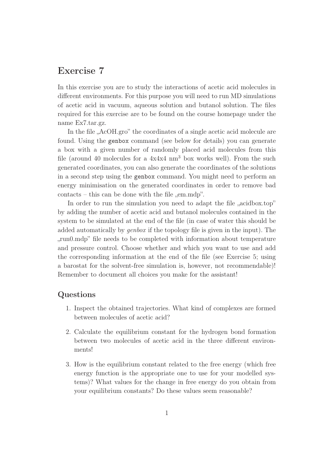## Exercise 7

In this exercise you are to study the interactions of acetic acid molecules in different environments. For this purpose you will need to run MD simulations of acetic acid in vacuum, aqueous solution and butanol solution. The files required for this exercise are to be found on the course homepage under the name Ex7.tar.gz.

In the file "AcOH.gro" the coordinates of a single acetic acid molecule are found. Using the genbox command (see below for details) you can generate a box with a given number of randomly placed acid molecules from this file (around 40 molecules for a 4x4x4 nm<sup>3</sup> box works well). From the such generated coordinates, you can also generate the coordinates of the solutions in a second step using the genbox command. You might need to perform an energy minimisation on the generated coordinates in order to remove bad  $\text{constants} - \text{this can be done with the file }, \text{em}.\text{mdp".}$ 

In order to run the simulation you need to adapt the file  $\alpha$  acidbox.top" by adding the number of acetic acid and butanol molecules contained in the system to be simulated at the end of the file (in case of water this should be added automatically by genbox if the topology file is given in the input). The "", "run0.mdp" file needs to be completed with information about temperature and pressure control. Choose whether and which you want to use and add the corresponding information at the end of the file (see Exercise 5; using a barostat for the solvent-free simulation is, however, not recommendable)! Remember to document all choices you make for the assistant!

## Questions

- 1. Inspect the obtained trajectories. What kind of complexes are formed between molecules of acetic acid?
- 2. Calculate the equilibrium constant for the hydrogen bond formation between two molecules of acetic acid in the three different environments!
- 3. How is the equilibrium constant related to the free energy (which free energy function is the appropriate one to use for your modelled systems)? What values for the change in free energy do you obtain from your equilibrium constants? Do these values seem reasonable?